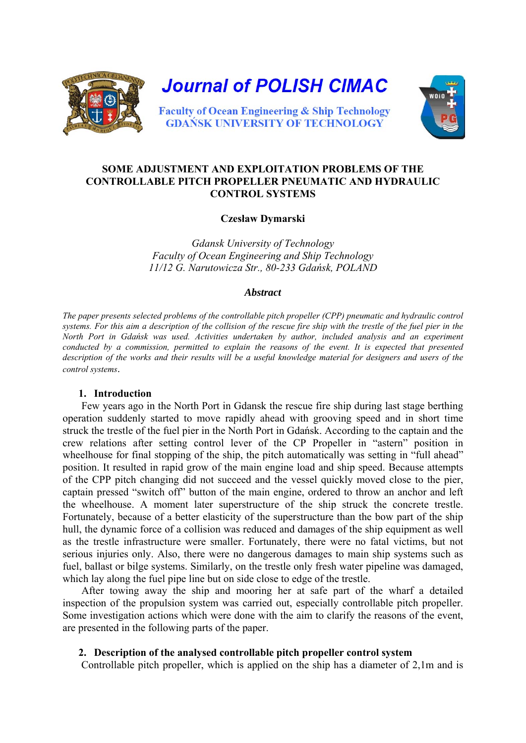

## **SOME ADJUSTMENT AND EXPLOITATION PROBLEMS OF THE CONTROLLABLE PITCH PROPELLER PNEUMATIC AND HYDRAULIC CONTROL SYSTEMS**

### **Czesław Dymarski**

*Gdansk University of Technology Faculty of Ocean Engineering and Ship Technology 11/12 G. Narutowicza Str., 80-233 Gdańsk, POLAND*

#### *Abstract*

*The paper presents selected problems of the controllable pitch propeller (CPP) pneumatic and hydraulic control systems. For this aim a description of the collision of the rescue fire ship with the trestle of the fuel pier in the North Port in Gdańsk was used. Activities undertaken by author, included analysis and an experiment conducted by a commission, permitted to explain the reasons of the event. It is expected that presented description of the works and their results will be a useful knowledge material for designers and users of the control systems*.

### **1. Introduction**

Few years ago in the North Port in Gdansk the rescue fire ship during last stage berthing operation suddenly started to move rapidly ahead with grooving speed and in short time struck the trestle of the fuel pier in the North Port in Gdańsk. According to the captain and the crew relations after setting control lever of the CP Propeller in "astern" position in wheelhouse for final stopping of the ship, the pitch automatically was setting in "full ahead" position. It resulted in rapid grow of the main engine load and ship speed. Because attempts of the CPP pitch changing did not succeed and the vessel quickly moved close to the pier, captain pressed "switch off" button of the main engine, ordered to throw an anchor and left the wheelhouse. A moment later superstructure of the ship struck the concrete trestle. Fortunately, because of a better elasticity of the superstructure than the bow part of the ship hull, the dynamic force of a collision was reduced and damages of the ship equipment as well as the trestle infrastructure were smaller. Fortunately, there were no fatal victims, but not serious injuries only. Also, there were no dangerous damages to main ship systems such as fuel, ballast or bilge systems. Similarly, on the trestle only fresh water pipeline was damaged, which lay along the fuel pipe line but on side close to edge of the trestle.

After towing away the ship and mooring her at safe part of the wharf a detailed inspection of the propulsion system was carried out, especially controllable pitch propeller. Some investigation actions which were done with the aim to clarify the reasons of the event, are presented in the following parts of the paper.

### **2. Description of the analysed controllable pitch propeller control system**

Controllable pitch propeller, which is applied on the ship has a diameter of 2,1m and is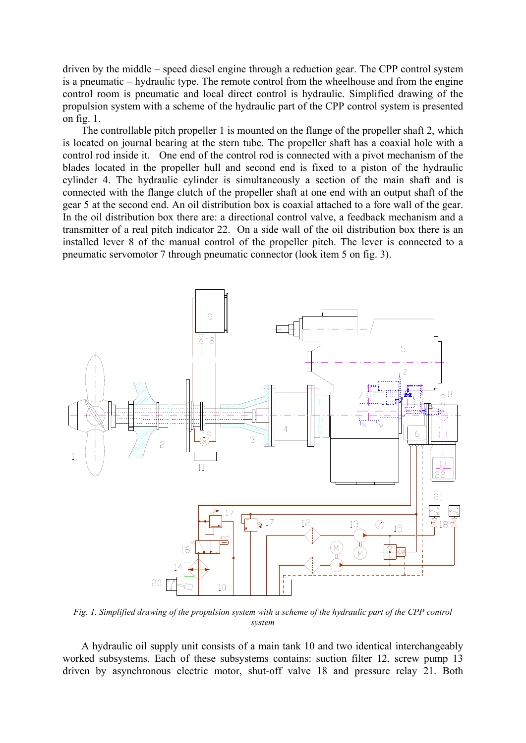driven by the middle – speed diesel engine through a reduction gear. The CPP control system is a pneumatic – hydraulic type. The remote control from the wheelhouse and from the engine control room is pneumatic and local direct control is hydraulic. Simplified drawing of the propulsion system with a scheme of the hydraulic part of the CPP control system is presented on fig. 1.

The controllable pitch propeller 1 is mounted on the flange of the propeller shaft 2, which is located on journal bearing at the stern tube. The propeller shaft has a coaxial hole with a control rod inside it. One end of the control rod is connected with a pivot mechanism of the blades located in the propeller hull and second end is fixed to a piston of the hydraulic cylinder 4. The hydraulic cylinder is simultaneously a section of the main shaft and is connected with the flange clutch of the propeller shaft at one end with an output shaft of the gear 5 at the second end. An oil distribution box is coaxial attached to a fore wall of the gear. In the oil distribution box there are: a directional control valve, a feedback mechanism and a transmitter of a real pitch indicator 22. On a side wall of the oil distribution box there is an installed lever 8 of the manual control of the propeller pitch. The lever is connected to a pneumatic servomotor 7 through pneumatic connector (look item 5 on fig. 3).



*Fig. 1. Simplified drawing of the propulsion system with a scheme of the hydraulic part of the CPP control system* 

A hydraulic oil supply unit consists of a main tank 10 and two identical interchangeably worked subsystems. Each of these subsystems contains: suction filter 12, screw pump 13 driven by asynchronous electric motor, shut-off valve 18 and pressure relay 21. Both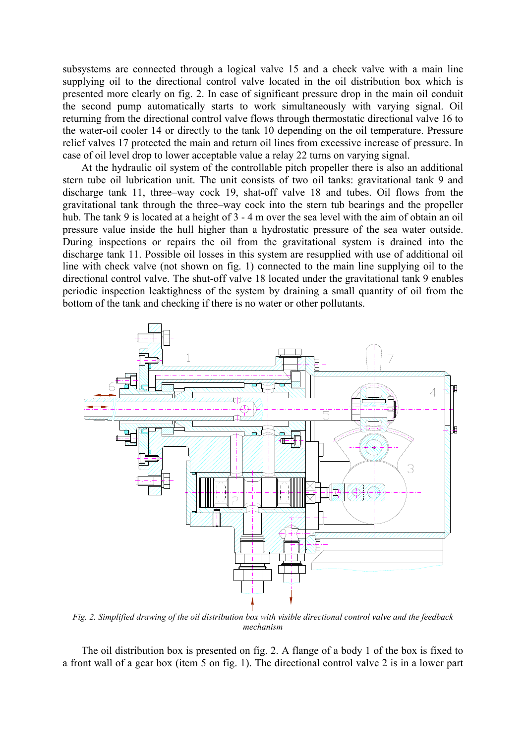subsystems are connected through a logical valve 15 and a check valve with a main line supplying oil to the directional control valve located in the oil distribution box which is presented more clearly on fig. 2. In case of significant pressure drop in the main oil conduit the second pump automatically starts to work simultaneously with varying signal. Oil returning from the directional control valve flows through thermostatic directional valve 16 to the water-oil cooler 14 or directly to the tank 10 depending on the oil temperature. Pressure relief valves 17 protected the main and return oil lines from excessive increase of pressure. In case of oil level drop to lower acceptable value a relay 22 turns on varying signal.

At the hydraulic oil system of the controllable pitch propeller there is also an additional stern tube oil lubrication unit. The unit consists of two oil tanks: gravitational tank 9 and discharge tank 11, three–way cock 19, shat-off valve 18 and tubes. Oil flows from the gravitational tank through the three–way cock into the stern tub bearings and the propeller hub. The tank 9 is located at a height of 3 - 4 m over the sea level with the aim of obtain an oil pressure value inside the hull higher than a hydrostatic pressure of the sea water outside. During inspections or repairs the oil from the gravitational system is drained into the discharge tank 11. Possible oil losses in this system are resupplied with use of additional oil line with check valve (not shown on fig. 1) connected to the main line supplying oil to the directional control valve. The shut-off valve 18 located under the gravitational tank 9 enables periodic inspection leaktighness of the system by draining a small quantity of oil from the bottom of the tank and checking if there is no water or other pollutants.



*Fig. 2. Simplified drawing of the oil distribution box with visible directional control valve and the feedback mechanism* 

The oil distribution box is presented on fig. 2. A flange of a body 1 of the box is fixed to a front wall of a gear box (item 5 on fig. 1). The directional control valve 2 is in a lower part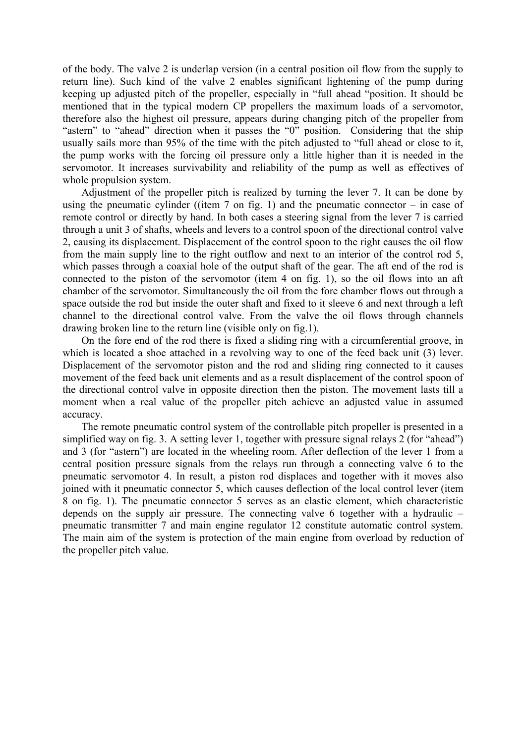of the body. The valve 2 is underlap version (in a central position oil flow from the supply to return line). Such kind of the valve 2 enables significant lightening of the pump during keeping up adjusted pitch of the propeller, especially in "full ahead "position. It should be mentioned that in the typical modern CP propellers the maximum loads of a servomotor, therefore also the highest oil pressure, appears during changing pitch of the propeller from "astern" to "ahead" direction when it passes the "0" position. Considering that the ship usually sails more than 95% of the time with the pitch adjusted to "full ahead or close to it, the pump works with the forcing oil pressure only a little higher than it is needed in the servomotor. It increases survivability and reliability of the pump as well as effectives of whole propulsion system.

Adjustment of the propeller pitch is realized by turning the lever 7. It can be done by using the pneumatic cylinder ((item  $7$  on fig. 1) and the pneumatic connector – in case of remote control or directly by hand. In both cases a steering signal from the lever 7 is carried through a unit 3 of shafts, wheels and levers to a control spoon of the directional control valve 2, causing its displacement. Displacement of the control spoon to the right causes the oil flow from the main supply line to the right outflow and next to an interior of the control rod 5, which passes through a coaxial hole of the output shaft of the gear. The aft end of the rod is connected to the piston of the servomotor (item 4 on fig. 1), so the oil flows into an aft chamber of the servomotor. Simultaneously the oil from the fore chamber flows out through a space outside the rod but inside the outer shaft and fixed to it sleeve 6 and next through a left channel to the directional control valve. From the valve the oil flows through channels drawing broken line to the return line (visible only on fig.1).

On the fore end of the rod there is fixed a sliding ring with a circumferential groove, in which is located a shoe attached in a revolving way to one of the feed back unit (3) lever. Displacement of the servomotor piston and the rod and sliding ring connected to it causes movement of the feed back unit elements and as a result displacement of the control spoon of the directional control valve in opposite direction then the piston. The movement lasts till a moment when a real value of the propeller pitch achieve an adjusted value in assumed accuracy.

The remote pneumatic control system of the controllable pitch propeller is presented in a simplified way on fig. 3. A setting lever 1, together with pressure signal relays 2 (for "ahead") and 3 (for "astern") are located in the wheeling room. After deflection of the lever 1 from a central position pressure signals from the relays run through a connecting valve 6 to the pneumatic servomotor 4. In result, a piston rod displaces and together with it moves also joined with it pneumatic connector 5, which causes deflection of the local control lever (item 8 on fig. 1). The pneumatic connector 5 serves as an elastic element, which characteristic depends on the supply air pressure. The connecting valve 6 together with a hydraulic – pneumatic transmitter 7 and main engine regulator 12 constitute automatic control system. The main aim of the system is protection of the main engine from overload by reduction of the propeller pitch value.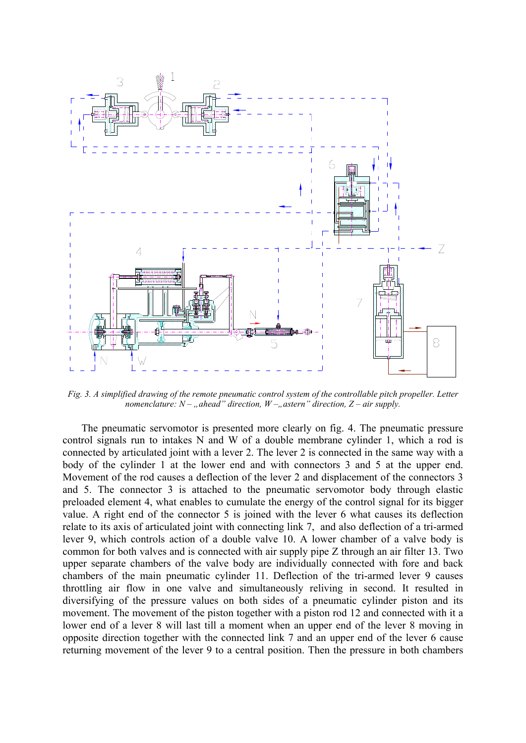

*Fig. 3. A simplified drawing of the remote pneumatic control system of the controllable pitch propeller. Letter nomenclature:*  $N -$ , *ahead" direction,*  $W -$ , *astern" direction,*  $Z -$  *air supply.* 

The pneumatic servomotor is presented more clearly on fig. 4. The pneumatic pressure control signals run to intakes N and W of a double membrane cylinder 1, which a rod is connected by articulated joint with a lever 2. The lever 2 is connected in the same way with a body of the cylinder 1 at the lower end and with connectors 3 and 5 at the upper end. Movement of the rod causes a deflection of the lever 2 and displacement of the connectors 3 and 5. The connector 3 is attached to the pneumatic servomotor body through elastic preloaded element 4, what enables to cumulate the energy of the control signal for its bigger value. A right end of the connector 5 is joined with the lever 6 what causes its deflection relate to its axis of articulated joint with connecting link 7, and also deflection of a tri-armed lever 9, which controls action of a double valve 10. A lower chamber of a valve body is common for both valves and is connected with air supply pipe Z through an air filter 13. Two upper separate chambers of the valve body are individually connected with fore and back chambers of the main pneumatic cylinder 11. Deflection of the tri-armed lever 9 causes throttling air flow in one valve and simultaneously reliving in second. It resulted in diversifying of the pressure values on both sides of a pneumatic cylinder piston and its movement. The movement of the piston together with a piston rod 12 and connected with it a lower end of a lever 8 will last till a moment when an upper end of the lever 8 moving in opposite direction together with the connected link 7 and an upper end of the lever 6 cause returning movement of the lever 9 to a central position. Then the pressure in both chambers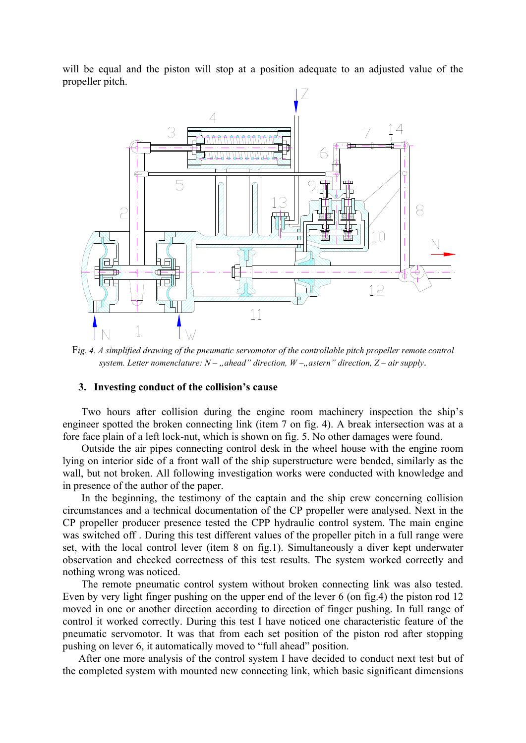will be equal and the piston will stop at a position adequate to an adjusted value of the propeller pitch.



F*ig. 4. A simplified drawing of the pneumatic servomotor of the controllable pitch propeller remote control system. Letter nomenclature:*  $N -$ , *ahead* direction,  $W -$ , *astern* direction,  $Z -$  *air supply.* 

### **3. Investing conduct of the collision's cause**

Two hours after collision during the engine room machinery inspection the ship's engineer spotted the broken connecting link (item 7 on fig. 4). A break intersection was at a fore face plain of a left lock-nut, which is shown on fig. 5. No other damages were found.

Outside the air pipes connecting control desk in the wheel house with the engine room lying on interior side of a front wall of the ship superstructure were bended, similarly as the wall, but not broken. All following investigation works were conducted with knowledge and in presence of the author of the paper.

In the beginning, the testimony of the captain and the ship crew concerning collision circumstances and a technical documentation of the CP propeller were analysed. Next in the CP propeller producer presence tested the CPP hydraulic control system. The main engine was switched off . During this test different values of the propeller pitch in a full range were set, with the local control lever (item 8 on fig.1). Simultaneously a diver kept underwater observation and checked correctness of this test results. The system worked correctly and nothing wrong was noticed.

The remote pneumatic control system without broken connecting link was also tested. Even by very light finger pushing on the upper end of the lever 6 (on fig.4) the piston rod 12 moved in one or another direction according to direction of finger pushing. In full range of control it worked correctly. During this test I have noticed one characteristic feature of the pneumatic servomotor. It was that from each set position of the piston rod after stopping pushing on lever 6, it automatically moved to "full ahead" position.

After one more analysis of the control system I have decided to conduct next test but of the completed system with mounted new connecting link, which basic significant dimensions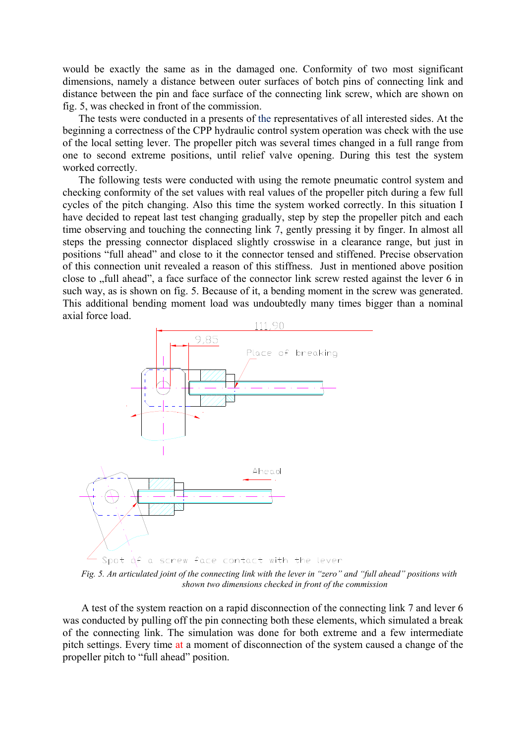would be exactly the same as in the damaged one. Conformity of two most significant dimensions, namely a distance between outer surfaces of botch pins of connecting link and distance between the pin and face surface of the connecting link screw, which are shown on fig. 5, was checked in front of the commission.

The tests were conducted in a presents of the representatives of all interested sides. At the beginning a correctness of the CPP hydraulic control system operation was check with the use of the local setting lever. The propeller pitch was several times changed in a full range from one to second extreme positions, until relief valve opening. During this test the system worked correctly.

The following tests were conducted with using the remote pneumatic control system and checking conformity of the set values with real values of the propeller pitch during a few full cycles of the pitch changing. Also this time the system worked correctly. In this situation I have decided to repeat last test changing gradually, step by step the propeller pitch and each time observing and touching the connecting link 7, gently pressing it by finger. In almost all steps the pressing connector displaced slightly crosswise in a clearance range, but just in positions "full ahead" and close to it the connector tensed and stiffened. Precise observation of this connection unit revealed a reason of this stiffness. Just in mentioned above position close to "full ahead", a face surface of the connector link screw rested against the lever 6 in such way, as is shown on fig. 5. Because of it, a bending moment in the screw was generated. This additional bending moment load was undoubtedly many times bigger than a nominal axial force load.



*Fig. 5. An articulated joint of the connecting link with the lever in "zero" and "full ahead" positions with shown two dimensions checked in front of the commission* 

A test of the system reaction on a rapid disconnection of the connecting link 7 and lever 6 was conducted by pulling off the pin connecting both these elements, which simulated a break of the connecting link. The simulation was done for both extreme and a few intermediate pitch settings. Every time at a moment of disconnection of the system caused a change of the propeller pitch to "full ahead" position.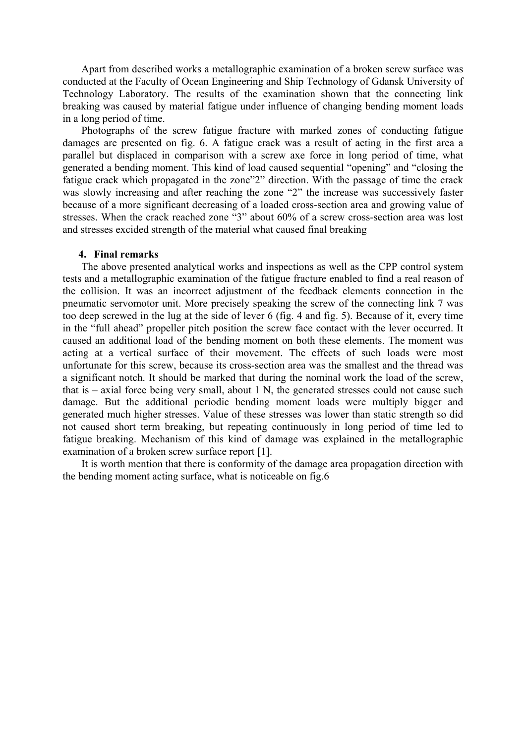Apart from described works a metallographic examination of a broken screw surface was conducted at the Faculty of Ocean Engineering and Ship Technology of Gdansk University of Technology Laboratory. The results of the examination shown that the connecting link breaking was caused by material fatigue under influence of changing bending moment loads in a long period of time.

Photographs of the screw fatigue fracture with marked zones of conducting fatigue damages are presented on fig. 6. A fatigue crack was a result of acting in the first area a parallel but displaced in comparison with a screw axe force in long period of time, what generated a bending moment. This kind of load caused sequential "opening" and "closing the fatigue crack which propagated in the zone"2" direction. With the passage of time the crack was slowly increasing and after reaching the zone "2" the increase was successively faster because of a more significant decreasing of a loaded cross-section area and growing value of stresses. When the crack reached zone "3" about 60% of a screw cross-section area was lost and stresses excided strength of the material what caused final breaking

#### **4. Final remarks**

The above presented analytical works and inspections as well as the CPP control system tests and a metallographic examination of the fatigue fracture enabled to find a real reason of the collision. It was an incorrect adjustment of the feedback elements connection in the pneumatic servomotor unit. More precisely speaking the screw of the connecting link 7 was too deep screwed in the lug at the side of lever 6 (fig. 4 and fig. 5). Because of it, every time in the "full ahead" propeller pitch position the screw face contact with the lever occurred. It caused an additional load of the bending moment on both these elements. The moment was acting at a vertical surface of their movement. The effects of such loads were most unfortunate for this screw, because its cross-section area was the smallest and the thread was a significant notch. It should be marked that during the nominal work the load of the screw, that is – axial force being very small, about 1 N, the generated stresses could not cause such damage. But the additional periodic bending moment loads were multiply bigger and generated much higher stresses. Value of these stresses was lower than static strength so did not caused short term breaking, but repeating continuously in long period of time led to fatigue breaking. Mechanism of this kind of damage was explained in the metallographic examination of a broken screw surface report [1].

It is worth mention that there is conformity of the damage area propagation direction with the bending moment acting surface, what is noticeable on fig.6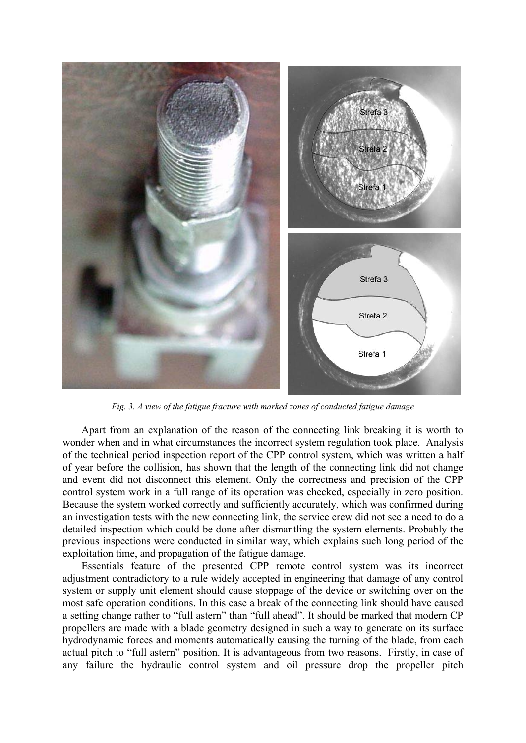

*Fig. 3. A view of the fatigue fracture with marked zones of conducted fatigue damage* 

Apart from an explanation of the reason of the connecting link breaking it is worth to wonder when and in what circumstances the incorrect system regulation took place. Analysis of the technical period inspection report of the CPP control system, which was written a half of year before the collision, has shown that the length of the connecting link did not change and event did not disconnect this element. Only the correctness and precision of the CPP control system work in a full range of its operation was checked, especially in zero position. Because the system worked correctly and sufficiently accurately, which was confirmed during an investigation tests with the new connecting link, the service crew did not see a need to do a detailed inspection which could be done after dismantling the system elements. Probably the previous inspections were conducted in similar way, which explains such long period of the exploitation time, and propagation of the fatigue damage.

Essentials feature of the presented CPP remote control system was its incorrect adjustment contradictory to a rule widely accepted in engineering that damage of any control system or supply unit element should cause stoppage of the device or switching over on the most safe operation conditions. In this case a break of the connecting link should have caused a setting change rather to "full astern" than "full ahead". It should be marked that modern CP propellers are made with a blade geometry designed in such a way to generate on its surface hydrodynamic forces and moments automatically causing the turning of the blade, from each actual pitch to "full astern" position. It is advantageous from two reasons. Firstly, in case of any failure the hydraulic control system and oil pressure drop the propeller pitch